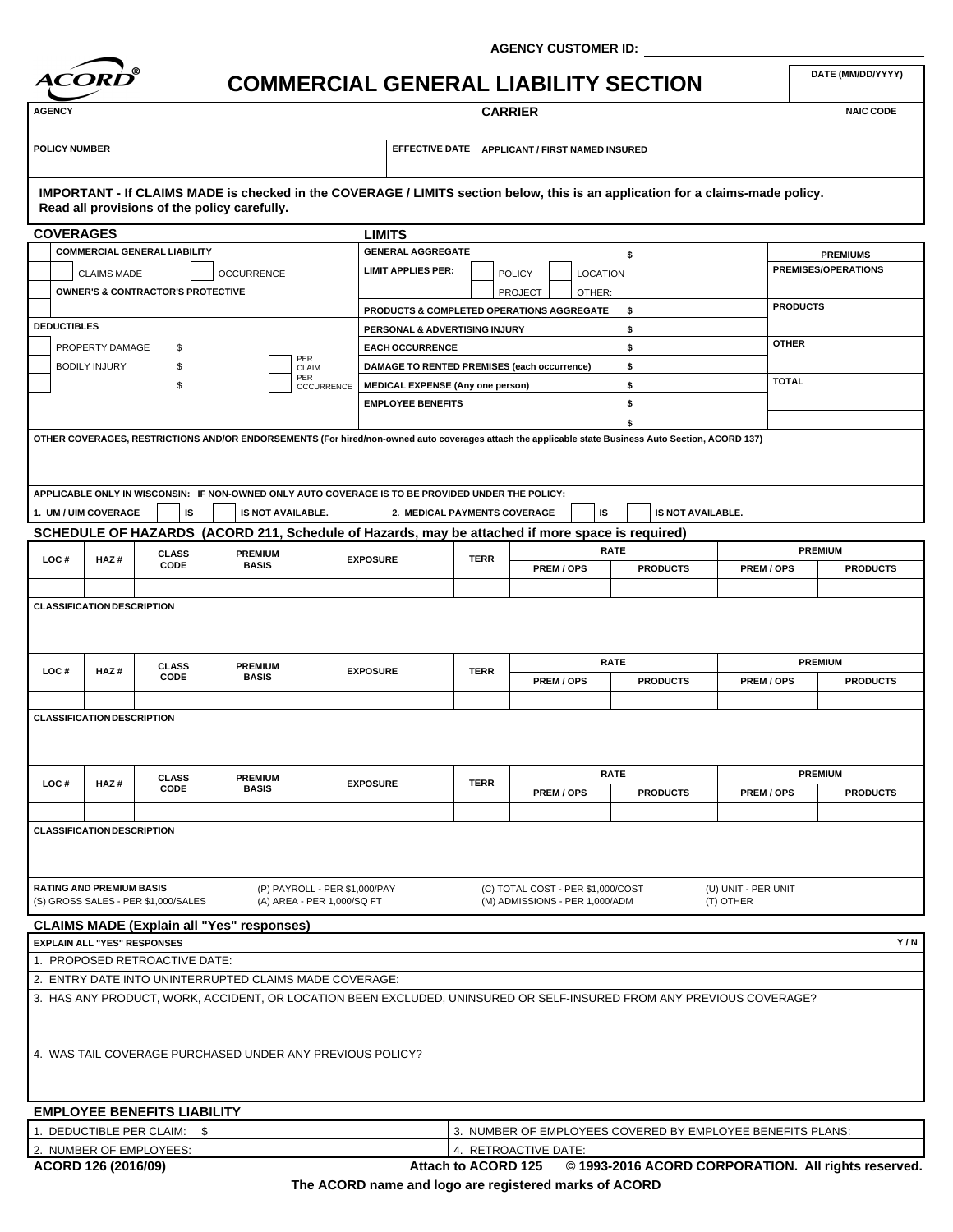

**AGENCY CUSTOMER ID:**

# **COMMERCIAL GENERAL LIABILITY SECTION**

**EFFECTIVE DATE APPLICANT / FIRST NAMED INSURED<br>
POLICY NUMBER<br>
POLICY NUMBER** 

## **IMPORTANT - If CLAIMS MADE is checked in the COVERAGE / LIMITS section below, this is an application for a claims-made policy. Read all provisions of the policy carefully.**

| <b>COVERAGES</b>                        |                                    |                                                           |                                |                                                             | <b>LIMITS</b>                                                                                     |             |                                                                                                 |                                                                                                                                                           |                                  |                 |
|-----------------------------------------|------------------------------------|-----------------------------------------------------------|--------------------------------|-------------------------------------------------------------|---------------------------------------------------------------------------------------------------|-------------|-------------------------------------------------------------------------------------------------|-----------------------------------------------------------------------------------------------------------------------------------------------------------|----------------------------------|-----------------|
| <b>COMMERCIAL GENERAL LIABILITY</b>     |                                    |                                                           |                                | <b>GENERAL AGGREGATE</b>                                    |                                                                                                   |             | <b>PREMIUMS</b>                                                                                 |                                                                                                                                                           |                                  |                 |
| <b>OCCURRENCE</b><br><b>CLAIMS MADE</b> |                                    |                                                           |                                | <b>LIMIT APPLIES PER:</b>                                   | <b>POLICY</b>                                                                                     |             | <b>PREMISES/OPERATIONS</b>                                                                      |                                                                                                                                                           |                                  |                 |
|                                         |                                    | <b>OWNER'S &amp; CONTRACTOR'S PROTECTIVE</b>              |                                |                                                             |                                                                                                   |             | <b>LOCATION</b><br><b>PROJECT</b><br>OTHER:                                                     |                                                                                                                                                           |                                  |                 |
|                                         |                                    |                                                           |                                |                                                             |                                                                                                   |             | PRODUCTS & COMPLETED OPERATIONS AGGREGATE                                                       | \$                                                                                                                                                        | <b>PRODUCTS</b>                  |                 |
| <b>DEDUCTIBLES</b>                      |                                    |                                                           |                                |                                                             | PERSONAL & ADVERTISING INJURY                                                                     |             |                                                                                                 | \$                                                                                                                                                        |                                  |                 |
|                                         | PROPERTY DAMAGE                    | \$                                                        |                                |                                                             | <b>EACH OCCURRENCE</b>                                                                            |             |                                                                                                 | \$                                                                                                                                                        | <b>OTHER</b>                     |                 |
|                                         | <b>BODILY INJURY</b>               | \$                                                        |                                | PER                                                         | DAMAGE TO RENTED PREMISES (each occurrence)                                                       |             |                                                                                                 | \$                                                                                                                                                        |                                  |                 |
|                                         |                                    |                                                           |                                | CLAIM<br>PER                                                |                                                                                                   |             |                                                                                                 | \$                                                                                                                                                        | <b>TOTAL</b>                     |                 |
|                                         |                                    | \$                                                        |                                | <b>OCCURRENCE</b>                                           | <b>MEDICAL EXPENSE (Any one person)</b>                                                           |             |                                                                                                 | \$                                                                                                                                                        |                                  |                 |
|                                         |                                    |                                                           |                                |                                                             | <b>EMPLOYEE BENEFITS</b>                                                                          |             |                                                                                                 |                                                                                                                                                           |                                  |                 |
|                                         |                                    |                                                           |                                |                                                             |                                                                                                   |             |                                                                                                 | \$<br>OTHER COVERAGES, RESTRICTIONS AND/OR ENDORSEMENTS (For hired/non-owned auto coverages attach the applicable state Business Auto Section, ACORD 137) |                                  |                 |
|                                         |                                    |                                                           |                                |                                                             |                                                                                                   |             |                                                                                                 |                                                                                                                                                           |                                  |                 |
|                                         |                                    |                                                           |                                |                                                             |                                                                                                   |             |                                                                                                 |                                                                                                                                                           |                                  |                 |
|                                         |                                    |                                                           |                                |                                                             | APPLICABLE ONLY IN WISCONSIN: IF NON-OWNED ONLY AUTO COVERAGE IS TO BE PROVIDED UNDER THE POLICY: |             |                                                                                                 |                                                                                                                                                           |                                  |                 |
|                                         | 1. UM / UIM COVERAGE               | IS                                                        | IS NOT AVAILABLE.              |                                                             | 2. MEDICAL PAYMENTS COVERAGE                                                                      |             | IS                                                                                              | IS NOT AVAILABLE.                                                                                                                                         |                                  |                 |
|                                         |                                    |                                                           |                                |                                                             |                                                                                                   |             | SCHEDULE OF HAZARDS (ACORD 211, Schedule of Hazards, may be attached if more space is required) |                                                                                                                                                           |                                  |                 |
|                                         |                                    | <b>CLASS</b>                                              | <b>PREMIUM</b>                 |                                                             |                                                                                                   |             |                                                                                                 | <b>RATE</b>                                                                                                                                               |                                  | <b>PREMIUM</b>  |
| LOC#                                    | HAZ#                               | CODE                                                      | <b>BASIS</b>                   |                                                             | <b>EXPOSURE</b>                                                                                   | <b>TERR</b> | PREM / OPS                                                                                      | <b>PRODUCTS</b>                                                                                                                                           | PREM / OPS                       | <b>PRODUCTS</b> |
|                                         |                                    |                                                           |                                |                                                             |                                                                                                   |             |                                                                                                 |                                                                                                                                                           |                                  |                 |
|                                         | <b>CLASSIFICATION DESCRIPTION</b>  |                                                           |                                |                                                             |                                                                                                   |             |                                                                                                 |                                                                                                                                                           |                                  |                 |
|                                         |                                    |                                                           |                                |                                                             |                                                                                                   |             |                                                                                                 |                                                                                                                                                           |                                  |                 |
|                                         |                                    |                                                           |                                |                                                             |                                                                                                   |             |                                                                                                 |                                                                                                                                                           |                                  |                 |
|                                         |                                    |                                                           |                                |                                                             |                                                                                                   |             |                                                                                                 | <b>RATE</b>                                                                                                                                               |                                  | <b>PREMIUM</b>  |
| LOC#                                    | HAZ#                               | <b>CLASS</b><br>CODE                                      | <b>PREMIUM</b><br><b>BASIS</b> |                                                             | <b>EXPOSURE</b>                                                                                   | <b>TERR</b> | PREM / OPS                                                                                      | <b>PRODUCTS</b>                                                                                                                                           | PREM / OPS                       | <b>PRODUCTS</b> |
|                                         |                                    |                                                           |                                |                                                             |                                                                                                   |             |                                                                                                 |                                                                                                                                                           |                                  |                 |
|                                         |                                    |                                                           |                                |                                                             |                                                                                                   |             |                                                                                                 |                                                                                                                                                           |                                  |                 |
|                                         | <b>CLASSIFICATION DESCRIPTION</b>  |                                                           |                                |                                                             |                                                                                                   |             |                                                                                                 |                                                                                                                                                           |                                  |                 |
|                                         |                                    |                                                           |                                |                                                             |                                                                                                   |             |                                                                                                 |                                                                                                                                                           |                                  |                 |
|                                         |                                    |                                                           |                                |                                                             |                                                                                                   |             |                                                                                                 | <b>RATE</b>                                                                                                                                               |                                  | <b>PREMIUM</b>  |
| LOC#                                    | HAZ#                               | <b>CLASS</b><br>CODE                                      | <b>PREMIUM</b><br><b>BASIS</b> |                                                             | <b>EXPOSURE</b>                                                                                   | <b>TERR</b> | PREM / OPS                                                                                      | <b>PRODUCTS</b>                                                                                                                                           | PREM / OPS                       | <b>PRODUCTS</b> |
|                                         |                                    |                                                           |                                |                                                             |                                                                                                   |             |                                                                                                 |                                                                                                                                                           |                                  |                 |
|                                         |                                    |                                                           |                                |                                                             |                                                                                                   |             |                                                                                                 |                                                                                                                                                           |                                  |                 |
|                                         | <b>CLASSIFICATION DESCRIPTION</b>  |                                                           |                                |                                                             |                                                                                                   |             |                                                                                                 |                                                                                                                                                           |                                  |                 |
|                                         |                                    |                                                           |                                |                                                             |                                                                                                   |             |                                                                                                 |                                                                                                                                                           |                                  |                 |
|                                         |                                    |                                                           |                                |                                                             |                                                                                                   |             |                                                                                                 |                                                                                                                                                           |                                  |                 |
|                                         | <b>RATING AND PREMIUM BASIS</b>    | (S) GROSS SALES - PER \$1,000/SALES                       |                                | (P) PAYROLL - PER \$1,000/PAY<br>(A) AREA - PER 1,000/SQ FT |                                                                                                   |             | (C) TOTAL COST - PER \$1,000/COST<br>(M) ADMISSIONS - PER 1,000/ADM                             |                                                                                                                                                           | (U) UNIT - PER UNIT<br>(T) OTHER |                 |
|                                         |                                    |                                                           |                                |                                                             |                                                                                                   |             |                                                                                                 |                                                                                                                                                           |                                  |                 |
|                                         |                                    | <b>CLAIMS MADE (Explain all "Yes" responses)</b>          |                                |                                                             |                                                                                                   |             |                                                                                                 |                                                                                                                                                           |                                  |                 |
|                                         | <b>EXPLAIN ALL "YES" RESPONSES</b> |                                                           |                                |                                                             |                                                                                                   |             |                                                                                                 |                                                                                                                                                           |                                  | Y/N             |
|                                         |                                    | 1. PROPOSED RETROACTIVE DATE:                             |                                |                                                             |                                                                                                   |             |                                                                                                 |                                                                                                                                                           |                                  |                 |
|                                         |                                    | 2. ENTRY DATE INTO UNINTERRUPTED CLAIMS MADE COVERAGE:    |                                |                                                             |                                                                                                   |             |                                                                                                 |                                                                                                                                                           |                                  |                 |
|                                         |                                    |                                                           |                                |                                                             |                                                                                                   |             |                                                                                                 | 3. HAS ANY PRODUCT, WORK, ACCIDENT, OR LOCATION BEEN EXCLUDED, UNINSURED OR SELF-INSURED FROM ANY PREVIOUS COVERAGE?                                      |                                  |                 |
|                                         |                                    |                                                           |                                |                                                             |                                                                                                   |             |                                                                                                 |                                                                                                                                                           |                                  |                 |
|                                         |                                    |                                                           |                                |                                                             |                                                                                                   |             |                                                                                                 |                                                                                                                                                           |                                  |                 |
|                                         |                                    | 4. WAS TAIL COVERAGE PURCHASED UNDER ANY PREVIOUS POLICY? |                                |                                                             |                                                                                                   |             |                                                                                                 |                                                                                                                                                           |                                  |                 |
|                                         |                                    |                                                           |                                |                                                             |                                                                                                   |             |                                                                                                 |                                                                                                                                                           |                                  |                 |
|                                         |                                    |                                                           |                                |                                                             |                                                                                                   |             |                                                                                                 |                                                                                                                                                           |                                  |                 |
|                                         |                                    | <b>EMPLOYEE BENEFITS LIABILITY</b>                        |                                |                                                             |                                                                                                   |             |                                                                                                 |                                                                                                                                                           |                                  |                 |
|                                         |                                    |                                                           |                                |                                                             |                                                                                                   |             |                                                                                                 |                                                                                                                                                           |                                  |                 |
|                                         |                                    |                                                           |                                |                                                             |                                                                                                   |             |                                                                                                 |                                                                                                                                                           |                                  |                 |
|                                         |                                    | 1. DEDUCTIBLE PER CLAIM: \$<br>2. NUMBER OF EMPLOYEES:    |                                |                                                             |                                                                                                   |             | 4. RETROACTIVE DATE:                                                                            | 3. NUMBER OF EMPLOYEES COVERED BY EMPLOYEE BENEFITS PLANS:                                                                                                |                                  |                 |

**ACORD 126 (2016/09) © 1993-2016 ACORD CORPORATION. All rights reserved. Attach to ACORD 125**

**The ACORD name and logo are registered marks of ACORD**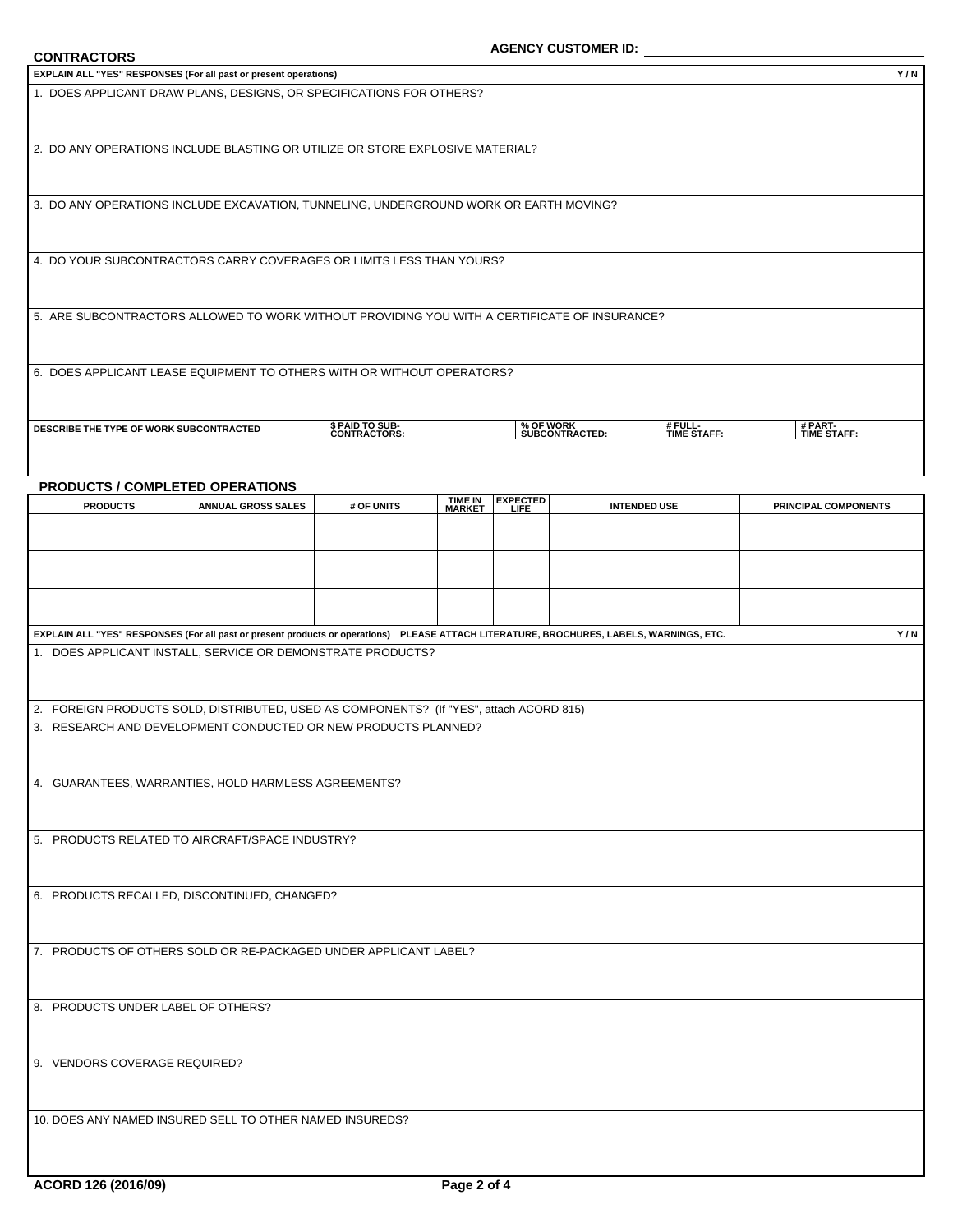| <b>CONTRACTORS</b>                                                                                                                       |                           |                                 |                   |                 | <b>AGENCY CUSTOMER ID:</b>  |                        |                        |     |
|------------------------------------------------------------------------------------------------------------------------------------------|---------------------------|---------------------------------|-------------------|-----------------|-----------------------------|------------------------|------------------------|-----|
| EXPLAIN ALL "YES" RESPONSES (For all past or present operations)                                                                         |                           |                                 |                   |                 |                             |                        |                        | Y/N |
| 1. DOES APPLICANT DRAW PLANS, DESIGNS, OR SPECIFICATIONS FOR OTHERS?                                                                     |                           |                                 |                   |                 |                             |                        |                        |     |
|                                                                                                                                          |                           |                                 |                   |                 |                             |                        |                        |     |
| 2. DO ANY OPERATIONS INCLUDE BLASTING OR UTILIZE OR STORE EXPLOSIVE MATERIAL?                                                            |                           |                                 |                   |                 |                             |                        |                        |     |
|                                                                                                                                          |                           |                                 |                   |                 |                             |                        |                        |     |
| 3. DO ANY OPERATIONS INCLUDE EXCAVATION, TUNNELING, UNDERGROUND WORK OR EARTH MOVING?                                                    |                           |                                 |                   |                 |                             |                        |                        |     |
|                                                                                                                                          |                           |                                 |                   |                 |                             |                        |                        |     |
| 4. DO YOUR SUBCONTRACTORS CARRY COVERAGES OR LIMITS LESS THAN YOURS?                                                                     |                           |                                 |                   |                 |                             |                        |                        |     |
|                                                                                                                                          |                           |                                 |                   |                 |                             |                        |                        |     |
|                                                                                                                                          |                           |                                 |                   |                 |                             |                        |                        |     |
| 5. ARE SUBCONTRACTORS ALLOWED TO WORK WITHOUT PROVIDING YOU WITH A CERTIFICATE OF INSURANCE?                                             |                           |                                 |                   |                 |                             |                        |                        |     |
|                                                                                                                                          |                           |                                 |                   |                 |                             |                        |                        |     |
| 6. DOES APPLICANT LEASE EQUIPMENT TO OTHERS WITH OR WITHOUT OPERATORS?                                                                   |                           |                                 |                   |                 |                             |                        |                        |     |
|                                                                                                                                          |                           |                                 |                   |                 |                             |                        |                        |     |
| DESCRIBE THE TYPE OF WORK SUBCONTRACTED                                                                                                  |                           | \$ PAID TO SUB-<br>CONTRACTORS: |                   |                 | % OF WORK<br>SUBCONTRACTED: | # FULL-<br>TIME STAFF: | # PART-<br>TIME STAFF: |     |
|                                                                                                                                          |                           |                                 |                   |                 |                             |                        |                        |     |
| PRODUCTS / COMPLETED OPERATIONS                                                                                                          |                           |                                 |                   |                 |                             |                        |                        |     |
| <b>PRODUCTS</b>                                                                                                                          | <b>ANNUAL GROSS SALES</b> | # OF UNITS                      | TIME IN<br>MARKET | <b>EXPECTED</b> |                             | <b>INTENDED USE</b>    | PRINCIPAL COMPONENTS   |     |
|                                                                                                                                          |                           |                                 |                   |                 |                             |                        |                        |     |
|                                                                                                                                          |                           |                                 |                   |                 |                             |                        |                        |     |
|                                                                                                                                          |                           |                                 |                   |                 |                             |                        |                        |     |
|                                                                                                                                          |                           |                                 |                   |                 |                             |                        |                        |     |
| EXPLAIN ALL "YES" RESPONSES (For all past or present products or operations) PLEASE ATTACH LITERATURE, BROCHURES, LABELS, WARNINGS, ETC. |                           |                                 |                   |                 |                             |                        |                        | Y/N |
| 1. DOES APPLICANT INSTALL, SERVICE OR DEMONSTRATE PRODUCTS?                                                                              |                           |                                 |                   |                 |                             |                        |                        |     |
|                                                                                                                                          |                           |                                 |                   |                 |                             |                        |                        |     |
| 2. FOREIGN PRODUCTS SOLD, DISTRIBUTED, USED AS COMPONENTS? (If "YES", attach ACORD 815)                                                  |                           |                                 |                   |                 |                             |                        |                        |     |
| 3. RESEARCH AND DEVELOPMENT CONDUCTED OR NEW PRODUCTS PLANNED?                                                                           |                           |                                 |                   |                 |                             |                        |                        |     |
|                                                                                                                                          |                           |                                 |                   |                 |                             |                        |                        |     |
| 4. GUARANTEES, WARRANTIES, HOLD HARMLESS AGREEMENTS?                                                                                     |                           |                                 |                   |                 |                             |                        |                        |     |
|                                                                                                                                          |                           |                                 |                   |                 |                             |                        |                        |     |
| 5. PRODUCTS RELATED TO AIRCRAFT/SPACE INDUSTRY?                                                                                          |                           |                                 |                   |                 |                             |                        |                        |     |
|                                                                                                                                          |                           |                                 |                   |                 |                             |                        |                        |     |
| 6. PRODUCTS RECALLED, DISCONTINUED, CHANGED?                                                                                             |                           |                                 |                   |                 |                             |                        |                        |     |
|                                                                                                                                          |                           |                                 |                   |                 |                             |                        |                        |     |
| 7. PRODUCTS OF OTHERS SOLD OR RE-PACKAGED UNDER APPLICANT LABEL?                                                                         |                           |                                 |                   |                 |                             |                        |                        |     |
|                                                                                                                                          |                           |                                 |                   |                 |                             |                        |                        |     |
|                                                                                                                                          |                           |                                 |                   |                 |                             |                        |                        |     |
| 8. PRODUCTS UNDER LABEL OF OTHERS?                                                                                                       |                           |                                 |                   |                 |                             |                        |                        |     |
|                                                                                                                                          |                           |                                 |                   |                 |                             |                        |                        |     |
| 9. VENDORS COVERAGE REQUIRED?                                                                                                            |                           |                                 |                   |                 |                             |                        |                        |     |
|                                                                                                                                          |                           |                                 |                   |                 |                             |                        |                        |     |
| 10. DOES ANY NAMED INSURED SELL TO OTHER NAMED INSUREDS?                                                                                 |                           |                                 |                   |                 |                             |                        |                        |     |
|                                                                                                                                          |                           |                                 |                   |                 |                             |                        |                        |     |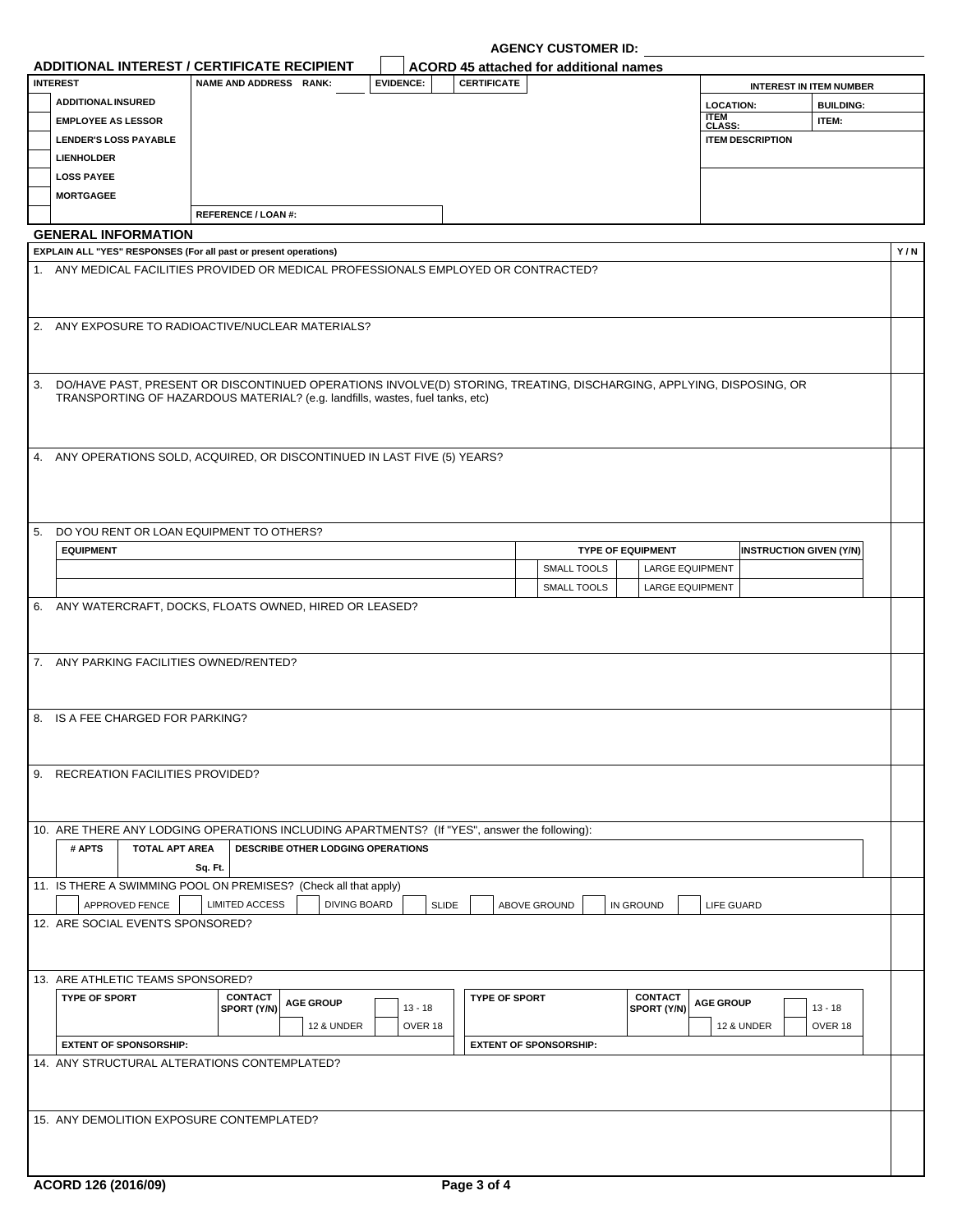|    | ADDITIONAL INTEREST / CERTIFICATE RECIPIENT                                                                                                                                                             |                               |                                   |                     |                  |              | ACORD 45 attached for additional names |                               |                          |                              |                                |                                |     |
|----|---------------------------------------------------------------------------------------------------------------------------------------------------------------------------------------------------------|-------------------------------|-----------------------------------|---------------------|------------------|--------------|----------------------------------------|-------------------------------|--------------------------|------------------------------|--------------------------------|--------------------------------|-----|
|    | <b>INTEREST</b>                                                                                                                                                                                         | NAME AND ADDRESS RANK:        |                                   |                     | <b>EVIDENCE:</b> |              | <b>CERTIFICATE</b>                     |                               |                          |                              |                                | <b>INTEREST IN ITEM NUMBER</b> |     |
|    | <b>ADDITIONAL INSURED</b>                                                                                                                                                                               |                               |                                   |                     |                  |              |                                        |                               |                          | <b>LOCATION:</b>             |                                | <b>BUILDING:</b>               |     |
|    | <b>EMPLOYEE AS LESSOR</b>                                                                                                                                                                               |                               |                                   |                     |                  |              |                                        |                               |                          | <b>ITEM</b><br><b>CLASS:</b> |                                | ITEM:                          |     |
|    | <b>LENDER'S LOSS PAYABLE</b>                                                                                                                                                                            |                               |                                   |                     |                  |              |                                        |                               |                          |                              | <b>ITEM DESCRIPTION</b>        |                                |     |
|    | <b>LIENHOLDER</b>                                                                                                                                                                                       |                               |                                   |                     |                  |              |                                        |                               |                          |                              |                                |                                |     |
|    | <b>LOSS PAYEE</b>                                                                                                                                                                                       |                               |                                   |                     |                  |              |                                        |                               |                          |                              |                                |                                |     |
|    | <b>MORTGAGEE</b>                                                                                                                                                                                        |                               |                                   |                     |                  |              |                                        |                               |                          |                              |                                |                                |     |
|    |                                                                                                                                                                                                         | REFERENCE / LOAN #:           |                                   |                     |                  |              |                                        |                               |                          |                              |                                |                                |     |
|    | <b>GENERAL INFORMATION</b>                                                                                                                                                                              |                               |                                   |                     |                  |              |                                        |                               |                          |                              |                                |                                |     |
|    | EXPLAIN ALL "YES" RESPONSES (For all past or present operations)<br>1. ANY MEDICAL FACILITIES PROVIDED OR MEDICAL PROFESSIONALS EMPLOYED OR CONTRACTED?                                                 |                               |                                   |                     |                  |              |                                        |                               |                          |                              |                                |                                | Y/N |
|    |                                                                                                                                                                                                         |                               |                                   |                     |                  |              |                                        |                               |                          |                              |                                |                                |     |
|    | 2. ANY EXPOSURE TO RADIOACTIVE/NUCLEAR MATERIALS?                                                                                                                                                       |                               |                                   |                     |                  |              |                                        |                               |                          |                              |                                |                                |     |
|    | 3. DO/HAVE PAST, PRESENT OR DISCONTINUED OPERATIONS INVOLVE(D) STORING, TREATING, DISCHARGING, APPLYING, DISPOSING, OR<br>TRANSPORTING OF HAZARDOUS MATERIAL? (e.g. landfills, wastes, fuel tanks, etc) |                               |                                   |                     |                  |              |                                        |                               |                          |                              |                                |                                |     |
|    | 4. ANY OPERATIONS SOLD, ACQUIRED, OR DISCONTINUED IN LAST FIVE (5) YEARS?                                                                                                                               |                               |                                   |                     |                  |              |                                        |                               |                          |                              |                                |                                |     |
| 5. | DO YOU RENT OR LOAN EQUIPMENT TO OTHERS?                                                                                                                                                                |                               |                                   |                     |                  |              |                                        |                               |                          |                              |                                |                                |     |
|    | <b>EQUIPMENT</b>                                                                                                                                                                                        |                               |                                   |                     |                  |              |                                        |                               | <b>TYPE OF EQUIPMENT</b> |                              | <b>INSTRUCTION GIVEN (Y/N)</b> |                                |     |
|    |                                                                                                                                                                                                         |                               |                                   |                     |                  |              |                                        | SMALL TOOLS                   | <b>LARGE EQUIPMENT</b>   |                              |                                |                                |     |
|    |                                                                                                                                                                                                         |                               |                                   |                     |                  |              |                                        | SMALL TOOLS                   | <b>LARGE EQUIPMENT</b>   |                              |                                |                                |     |
|    | 6. ANY WATERCRAFT, DOCKS, FLOATS OWNED, HIRED OR LEASED?                                                                                                                                                |                               |                                   |                     |                  |              |                                        |                               |                          |                              |                                |                                |     |
|    | 7. ANY PARKING FACILITIES OWNED/RENTED?<br>8. IS A FEE CHARGED FOR PARKING?<br>9. RECREATION FACILITIES PROVIDED?                                                                                       |                               |                                   |                     |                  |              |                                        |                               |                          |                              |                                |                                |     |
|    | 10. ARE THERE ANY LODGING OPERATIONS INCLUDING APARTMENTS? (If "YES", answer the following):                                                                                                            |                               |                                   |                     |                  |              |                                        |                               |                          |                              |                                |                                |     |
|    | # APTS<br><b>TOTAL APT AREA</b>                                                                                                                                                                         |                               | DESCRIBE OTHER LODGING OPERATIONS |                     |                  |              |                                        |                               |                          |                              |                                |                                |     |
|    |                                                                                                                                                                                                         | Sq. Ft.                       |                                   |                     |                  |              |                                        |                               |                          |                              |                                |                                |     |
|    | 11. IS THERE A SWIMMING POOL ON PREMISES? (Check all that apply)                                                                                                                                        |                               |                                   |                     |                  |              |                                        |                               |                          |                              |                                |                                |     |
|    | APPROVED FENCE                                                                                                                                                                                          | <b>LIMITED ACCESS</b>         |                                   | <b>DIVING BOARD</b> |                  | <b>SLIDE</b> |                                        | ABOVE GROUND                  | IN GROUND                | LIFE GUARD                   |                                |                                |     |
|    | 12. ARE SOCIAL EVENTS SPONSORED?                                                                                                                                                                        |                               |                                   |                     |                  |              |                                        |                               |                          |                              |                                |                                |     |
|    |                                                                                                                                                                                                         |                               |                                   |                     |                  |              |                                        |                               |                          |                              |                                |                                |     |
|    | 13. ARE ATHLETIC TEAMS SPONSORED?                                                                                                                                                                       |                               |                                   |                     |                  |              |                                        |                               |                          |                              |                                |                                |     |
|    | <b>TYPE OF SPORT</b>                                                                                                                                                                                    | <b>CONTACT</b><br>SPORT (Y/N) | <b>AGE GROUP</b>                  |                     | $13 - 18$        |              | <b>TYPE OF SPORT</b>                   |                               | CONTACT<br>SPORT (Y/N)   | <b>AGE GROUP</b>             |                                | $13 - 18$                      |     |
|    |                                                                                                                                                                                                         |                               | <b>12 &amp; UNDER</b>             |                     | OVER 18          |              |                                        |                               |                          |                              | <b>12 &amp; UNDER</b>          | OVER 18                        |     |
|    | <b>EXTENT OF SPONSORSHIP:</b>                                                                                                                                                                           |                               |                                   |                     |                  |              |                                        | <b>EXTENT OF SPONSORSHIP:</b> |                          |                              |                                |                                |     |
|    | 14. ANY STRUCTURAL ALTERATIONS CONTEMPLATED?                                                                                                                                                            |                               |                                   |                     |                  |              |                                        |                               |                          |                              |                                |                                |     |
|    | 15. ANY DEMOLITION EXPOSURE CONTEMPLATED?                                                                                                                                                               |                               |                                   |                     |                  |              |                                        |                               |                          |                              |                                |                                |     |
|    |                                                                                                                                                                                                         |                               |                                   |                     |                  |              |                                        |                               |                          |                              |                                |                                |     |
|    |                                                                                                                                                                                                         |                               |                                   |                     |                  |              |                                        |                               |                          |                              |                                |                                |     |
|    |                                                                                                                                                                                                         |                               |                                   |                     |                  |              |                                        |                               |                          |                              |                                |                                |     |

**AGENCY CUSTOMER ID:**

I